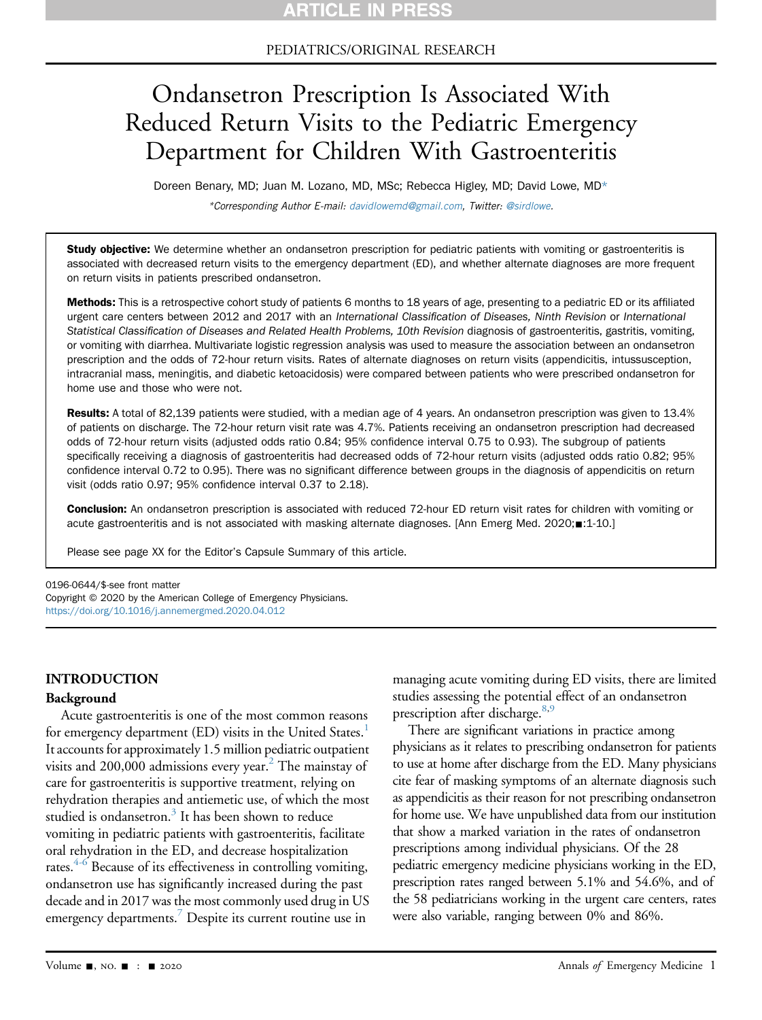#### PEDIATRICS/ORIGINAL RESEARCH

# Ondansetron Prescription Is Associated With Reduced Return Visits to the Pediatric Emergency Department for Children With Gastroenteritis

Doreen Benary, MD; Juan M. Lozano, MD, MSc; Rebecca Higley, MD; David Lowe, MD\* \*Corresponding Author E-mail: [davidlowemd@gmail.com,](mailto:davidlowemd@gmail.com) Twitter: [@sirdlowe.](https://twitter.com/sirdlowe)

Study objective: We determine whether an ondansetron prescription for pediatric patients with vomiting or gastroenteritis is associated with decreased return visits to the emergency department (ED), and whether alternate diagnoses are more frequent on return visits in patients prescribed ondansetron.

Methods: This is a retrospective cohort study of patients 6 months to 18 years of age, presenting to a pediatric ED or its affiliated urgent care centers between 2012 and 2017 with an International Classification of Diseases, Ninth Revision or International Statistical Classification of Diseases and Related Health Problems, 10th Revision diagnosis of gastroenteritis, gastritis, vomiting, or vomiting with diarrhea. Multivariate logistic regression analysis was used to measure the association between an ondansetron prescription and the odds of 72-hour return visits. Rates of alternate diagnoses on return visits (appendicitis, intussusception, intracranial mass, meningitis, and diabetic ketoacidosis) were compared between patients who were prescribed ondansetron for home use and those who were not.

Results: A total of 82,139 patients were studied, with a median age of 4 years. An ondansetron prescription was given to 13.4% of patients on discharge. The 72-hour return visit rate was 4.7%. Patients receiving an ondansetron prescription had decreased odds of 72-hour return visits (adjusted odds ratio 0.84; 95% confidence interval 0.75 to 0.93). The subgroup of patients specifically receiving a diagnosis of gastroenteritis had decreased odds of 72-hour return visits (adjusted odds ratio 0.82; 95% confidence interval 0.72 to 0.95). There was no significant difference between groups in the diagnosis of appendicitis on return visit (odds ratio 0.97; 95% confidence interval 0.37 to 2.18).

Conclusion: An ondansetron prescription is associated with reduced 72-hour ED return visit rates for children with vomiting or acute gastroenteritis and is not associated with masking alternate diagnoses. [Ann Emerg Med. 2020; =: 1-10.]

Please see page XX for the Editor's Capsule Summary of this article.

0196-0644/\$-see front matter

Copyright © 2020 by the American College of Emergency Physicians. <https://doi.org/10.1016/j.annemergmed.2020.04.012>

#### INTRODUCTION

#### Background

Acute gastroenteritis is one of the most common reasons for emergency department (ED) visits in the United States.<sup>1</sup> It accounts for approximately 1.5 million pediatric outpatient visits and  $200,000$  admissions every year.<sup>2</sup> The mainstay of care for gastroenteritis is supportive treatment, relying on rehydration therapies and antiemetic use, of which the most studied is ondansetron.<sup>3</sup> It has been shown to reduce vomiting in pediatric patients with gastroenteritis, facilitate oral rehydration in the ED, and decrease hospitalization rates.<sup>4-6</sup> Because of its effectiveness in controlling vomiting, ondansetron use has significantly increased during the past decade and in 2017 was the most commonly used drug in US emergency departments.<sup>7</sup> Despite its current routine use in

managing acute vomiting during ED visits, there are limited studies assessing the potential effect of an ondansetron prescription after discharge.<sup>8[,9](#page-9-6)</sup>

There are significant variations in practice among physicians as it relates to prescribing ondansetron for patients to use at home after discharge from the ED. Many physicians cite fear of masking symptoms of an alternate diagnosis such as appendicitis as their reason for not prescribing ondansetron for home use. We have unpublished data from our institution that show a marked variation in the rates of ondansetron prescriptions among individual physicians. Of the 28 pediatric emergency medicine physicians working in the ED, prescription rates ranged between 5.1% and 54.6%, and of the 58 pediatricians working in the urgent care centers, rates were also variable, ranging between 0% and 86%.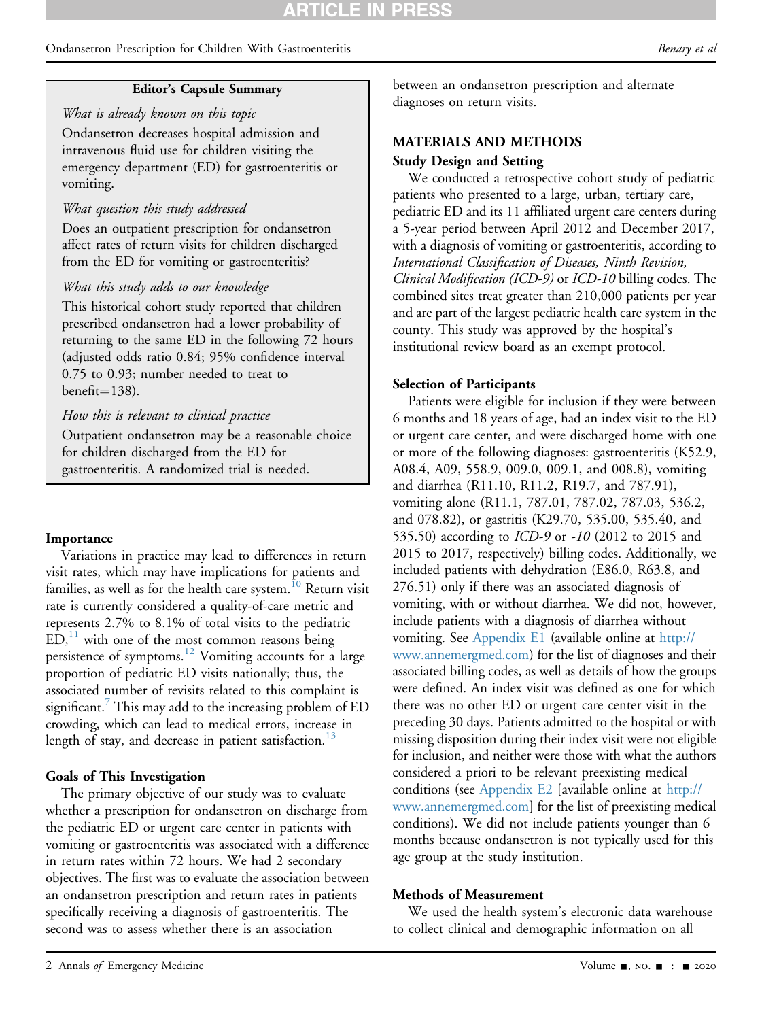#### Ondansetron Prescription for Children With Gastroenteritis Benary et al. Benary et al.

#### Editor's Capsule Summary

#### What is already known on this topic

Ondansetron decreases hospital admission and intravenous fluid use for children visiting the emergency department (ED) for gastroenteritis or vomiting.

#### What question this study addressed

Does an outpatient prescription for ondansetron affect rates of return visits for children discharged from the ED for vomiting or gastroenteritis?

#### What this study adds to our knowledge

This historical cohort study reported that children prescribed ondansetron had a lower probability of returning to the same ED in the following 72 hours (adjusted odds ratio 0.84; 95% confidence interval 0.75 to 0.93; number needed to treat to benefit $=$ 138).

#### How this is relevant to clinical practice

Outpatient ondansetron may be a reasonable choice for children discharged from the ED for gastroenteritis. A randomized trial is needed.

#### **Importance**

Variations in practice may lead to differences in return visit rates, which may have implications for patients and families, as well as for the health care system.<sup>[10](#page-9-7)</sup> Return visit rate is currently considered a quality-of-care metric and represents 2.7% to 8.1% of total visits to the pediatric  $ED<sup>11</sup>$  $ED<sup>11</sup>$  $ED<sup>11</sup>$  with one of the most common reasons being persistence of symptoms.<sup>12</sup> Vomiting accounts for a large proportion of pediatric ED visits nationally; thus, the associated number of revisits related to this complaint is significant. This may add to the increasing problem of ED crowding, which can lead to medical errors, increase in length of stay, and decrease in patient satisfaction.<sup>[13](#page-9-10)</sup>

#### Goals of This Investigation

The primary objective of our study was to evaluate whether a prescription for ondansetron on discharge from the pediatric ED or urgent care center in patients with vomiting or gastroenteritis was associated with a difference in return rates within 72 hours. We had 2 secondary objectives. The first was to evaluate the association between an ondansetron prescription and return rates in patients specifically receiving a diagnosis of gastroenteritis. The second was to assess whether there is an association

between an ondansetron prescription and alternate diagnoses on return visits.

#### MATERIALS AND METHODS Study Design and Setting

We conducted a retrospective cohort study of pediatric patients who presented to a large, urban, tertiary care, pediatric ED and its 11 affiliated urgent care centers during a 5-year period between April 2012 and December 2017, with a diagnosis of vomiting or gastroenteritis, according to International Classification of Diseases, Ninth Revision, Clinical Modification (ICD-9) or ICD-10 billing codes. The combined sites treat greater than 210,000 patients per year and are part of the largest pediatric health care system in the county. This study was approved by the hospital's institutional review board as an exempt protocol.

#### Selection of Participants

Patients were eligible for inclusion if they were between 6 months and 18 years of age, had an index visit to the ED or urgent care center, and were discharged home with one or more of the following diagnoses: gastroenteritis (K52.9, A08.4, A09, 558.9, 009.0, 009.1, and 008.8), vomiting and diarrhea (R11.10, R11.2, R19.7, and 787.91), vomiting alone (R11.1, 787.01, 787.02, 787.03, 536.2, and 078.82), or gastritis (K29.70, 535.00, 535.40, and 535.50) according to *ICD-9* or -10 (2012 to 2015 and 2015 to 2017, respectively) billing codes. Additionally, we included patients with dehydration (E86.0, R63.8, and 276.51) only if there was an associated diagnosis of vomiting, with or without diarrhea. We did not, however, include patients with a diagnosis of diarrhea without vomiting. See Appendix E1 (available online at [http://](http://www.annemergmed.com) [www.annemergmed.com](http://www.annemergmed.com)) for the list of diagnoses and their associated billing codes, as well as details of how the groups were defined. An index visit was defined as one for which there was no other ED or urgent care center visit in the preceding 30 days. Patients admitted to the hospital or with missing disposition during their index visit were not eligible for inclusion, and neither were those with what the authors considered a priori to be relevant preexisting medical conditions (see Appendix E2 [available online at [http://](http://www.annemergmed.com) [www.annemergmed.com](http://www.annemergmed.com)] for the list of preexisting medical conditions). We did not include patients younger than 6 months because ondansetron is not typically used for this age group at the study institution.

#### Methods of Measurement

We used the health system's electronic data warehouse to collect clinical and demographic information on all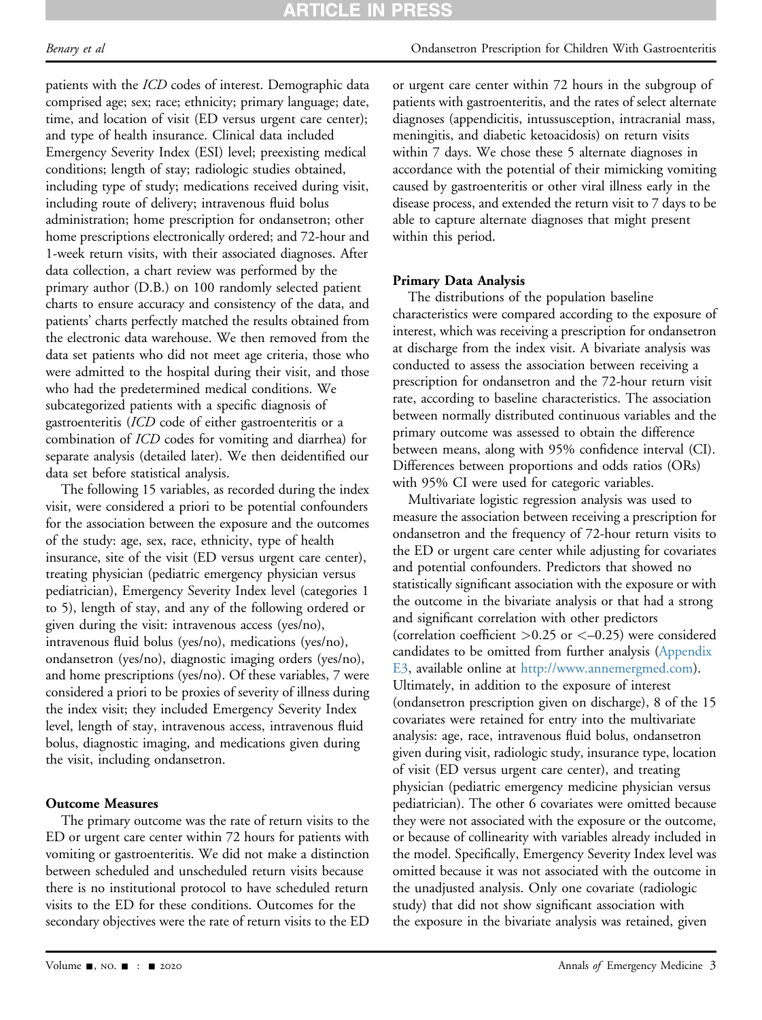## **RTICLE IN PRES**

patients with the ICD codes of interest. Demographic data comprised age; sex; race; ethnicity; primary language; date, time, and location of visit (ED versus urgent care center); and type of health insurance. Clinical data included Emergency Severity Index (ESI) level; preexisting medical conditions; length of stay; radiologic studies obtained, including type of study; medications received during visit, including route of delivery; intravenous fluid bolus administration; home prescription for ondansetron; other home prescriptions electronically ordered; and 72-hour and 1-week return visits, with their associated diagnoses. After data collection, a chart review was performed by the primary author (D.B.) on 100 randomly selected patient charts to ensure accuracy and consistency of the data, and patients' charts perfectly matched the results obtained from the electronic data warehouse. We then removed from the data set patients who did not meet age criteria, those who were admitted to the hospital during their visit, and those who had the predetermined medical conditions. We subcategorized patients with a specific diagnosis of gastroenteritis (ICD code of either gastroenteritis or a combination of ICD codes for vomiting and diarrhea) for separate analysis (detailed later). We then deidentified our data set before statistical analysis.

The following 15 variables, as recorded during the index visit, were considered a priori to be potential confounders for the association between the exposure and the outcomes of the study: age, sex, race, ethnicity, type of health insurance, site of the visit (ED versus urgent care center), treating physician (pediatric emergency physician versus pediatrician), Emergency Severity Index level (categories 1 to 5), length of stay, and any of the following ordered or given during the visit: intravenous access (yes/no), intravenous fluid bolus (yes/no), medications (yes/no), ondansetron (yes/no), diagnostic imaging orders (yes/no), and home prescriptions (yes/no). Of these variables, 7 were considered a priori to be proxies of severity of illness during the index visit; they included Emergency Severity Index level, length of stay, intravenous access, intravenous fluid bolus, diagnostic imaging, and medications given during the visit, including ondansetron.

#### Outcome Measures

The primary outcome was the rate of return visits to the ED or urgent care center within 72 hours for patients with vomiting or gastroenteritis. We did not make a distinction between scheduled and unscheduled return visits because there is no institutional protocol to have scheduled return visits to the ED for these conditions. Outcomes for the secondary objectives were the rate of return visits to the ED or urgent care center within 72 hours in the subgroup of patients with gastroenteritis, and the rates of select alternate diagnoses (appendicitis, intussusception, intracranial mass, meningitis, and diabetic ketoacidosis) on return visits within 7 days. We chose these 5 alternate diagnoses in accordance with the potential of their mimicking vomiting caused by gastroenteritis or other viral illness early in the disease process, and extended the return visit to 7 days to be able to capture alternate diagnoses that might present within this period.

#### Primary Data Analysis

The distributions of the population baseline characteristics were compared according to the exposure of interest, which was receiving a prescription for ondansetron at discharge from the index visit. A bivariate analysis was conducted to assess the association between receiving a prescription for ondansetron and the 72-hour return visit rate, according to baseline characteristics. The association between normally distributed continuous variables and the primary outcome was assessed to obtain the difference between means, along with 95% confidence interval (CI). Differences between proportions and odds ratios (ORs) with 95% CI were used for categoric variables.

Multivariate logistic regression analysis was used to measure the association between receiving a prescription for ondansetron and the frequency of 72-hour return visits to the ED or urgent care center while adjusting for covariates and potential confounders. Predictors that showed no statistically significant association with the exposure or with the outcome in the bivariate analysis or that had a strong and significant correlation with other predictors (correlation coefficient  $>0.25$  or  $<-0.25$ ) were considered candidates to be omitted from further analysis (Appendix E3, available online at <http://www.annemergmed.com>). Ultimately, in addition to the exposure of interest (ondansetron prescription given on discharge), 8 of the 15 covariates were retained for entry into the multivariate analysis: age, race, intravenous fluid bolus, ondansetron given during visit, radiologic study, insurance type, location of visit (ED versus urgent care center), and treating physician (pediatric emergency medicine physician versus pediatrician). The other 6 covariates were omitted because they were not associated with the exposure or the outcome, or because of collinearity with variables already included in the model. Specifically, Emergency Severity Index level was omitted because it was not associated with the outcome in the unadjusted analysis. Only one covariate (radiologic study) that did not show significant association with the exposure in the bivariate analysis was retained, given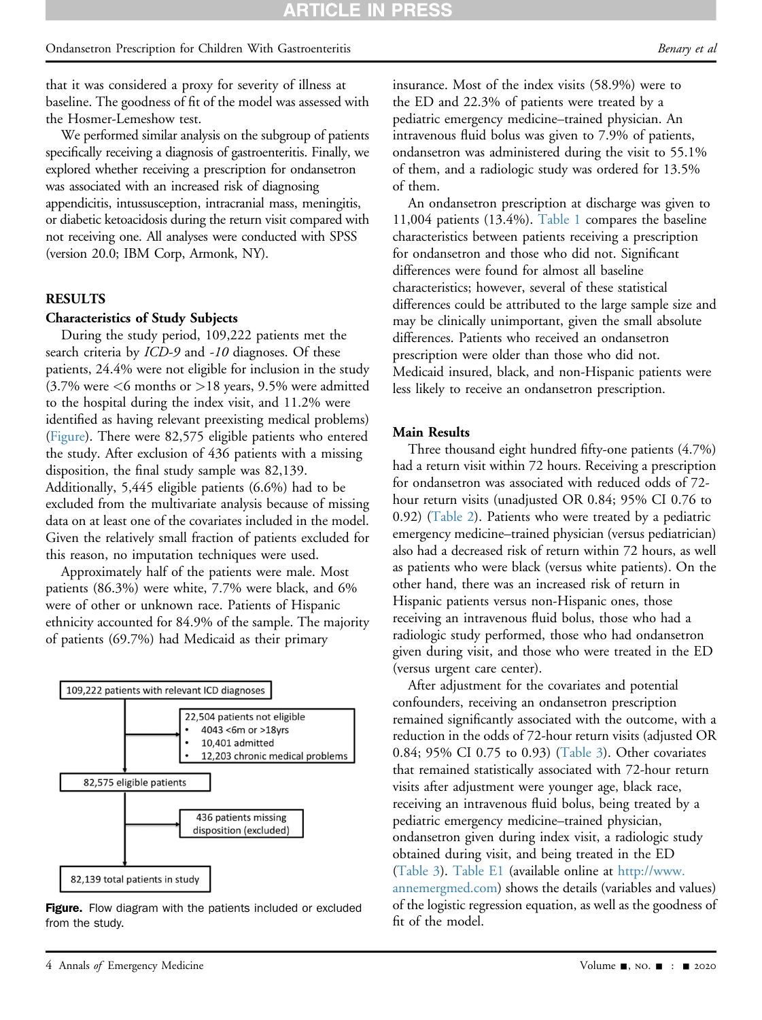#### Ondansetron Prescription for Children With Gastroenteritis Benary et al. Benary et al.

that it was considered a proxy for severity of illness at baseline. The goodness of fit of the model was assessed with the Hosmer-Lemeshow test.

We performed similar analysis on the subgroup of patients specifically receiving a diagnosis of gastroenteritis. Finally, we explored whether receiving a prescription for ondansetron was associated with an increased risk of diagnosing appendicitis, intussusception, intracranial mass, meningitis, or diabetic ketoacidosis during the return visit compared with not receiving one. All analyses were conducted with SPSS (version 20.0; IBM Corp, Armonk, NY).

#### RESULTS

#### Characteristics of Study Subjects

During the study period, 109,222 patients met the search criteria by ICD-9 and -10 diagnoses. Of these patients, 24.4% were not eligible for inclusion in the study  $(3.7\%$  were  $\leq 6$  months or  $>18$  years, 9.5% were admitted to the hospital during the index visit, and 11.2% were identified as having relevant preexisting medical problems) [\(Figure](#page-3-0)). There were 82,575 eligible patients who entered the study. After exclusion of 436 patients with a missing disposition, the final study sample was 82,139. Additionally, 5,445 eligible patients (6.6%) had to be excluded from the multivariate analysis because of missing data on at least one of the covariates included in the model. Given the relatively small fraction of patients excluded for this reason, no imputation techniques were used.

Approximately half of the patients were male. Most patients (86.3%) were white, 7.7% were black, and 6% were of other or unknown race. Patients of Hispanic ethnicity accounted for 84.9% of the sample. The majority of patients (69.7%) had Medicaid as their primary

<span id="page-3-0"></span>

Figure. Flow diagram with the patients included or excluded from the study.

insurance. Most of the index visits (58.9%) were to the ED and 22.3% of patients were treated by a pediatric emergency medicine–trained physician. An intravenous fluid bolus was given to 7.9% of patients, ondansetron was administered during the visit to 55.1% of them, and a radiologic study was ordered for 13.5% of them.

An ondansetron prescription at discharge was given to 11,004 patients (13.4%). [Table 1](#page-4-0) compares the baseline characteristics between patients receiving a prescription for ondansetron and those who did not. Significant differences were found for almost all baseline characteristics; however, several of these statistical differences could be attributed to the large sample size and may be clinically unimportant, given the small absolute differences. Patients who received an ondansetron prescription were older than those who did not. Medicaid insured, black, and non-Hispanic patients were less likely to receive an ondansetron prescription.

#### Main Results

Three thousand eight hundred fifty-one patients (4.7%) had a return visit within 72 hours. Receiving a prescription for ondansetron was associated with reduced odds of 72 hour return visits (unadjusted OR 0.84; 95% CI 0.76 to 0.92) [\(Table 2](#page-5-0)). Patients who were treated by a pediatric emergency medicine–trained physician (versus pediatrician) also had a decreased risk of return within 72 hours, as well as patients who were black (versus white patients). On the other hand, there was an increased risk of return in Hispanic patients versus non-Hispanic ones, those receiving an intravenous fluid bolus, those who had a radiologic study performed, those who had ondansetron given during visit, and those who were treated in the ED (versus urgent care center).

After adjustment for the covariates and potential confounders, receiving an ondansetron prescription remained significantly associated with the outcome, with a reduction in the odds of 72-hour return visits (adjusted OR 0.84; 95% CI 0.75 to 0.93) [\(Table 3](#page-6-0)). Other covariates that remained statistically associated with 72-hour return visits after adjustment were younger age, black race, receiving an intravenous fluid bolus, being treated by a pediatric emergency medicine–trained physician, ondansetron given during index visit, a radiologic study obtained during visit, and being treated in the ED ([Table 3\)](#page-6-0). Table E1 (available online at [http://www.](http://www.annemergmed.com) [annemergmed.com\)](http://www.annemergmed.com) shows the details (variables and values) of the logistic regression equation, as well as the goodness of fit of the model.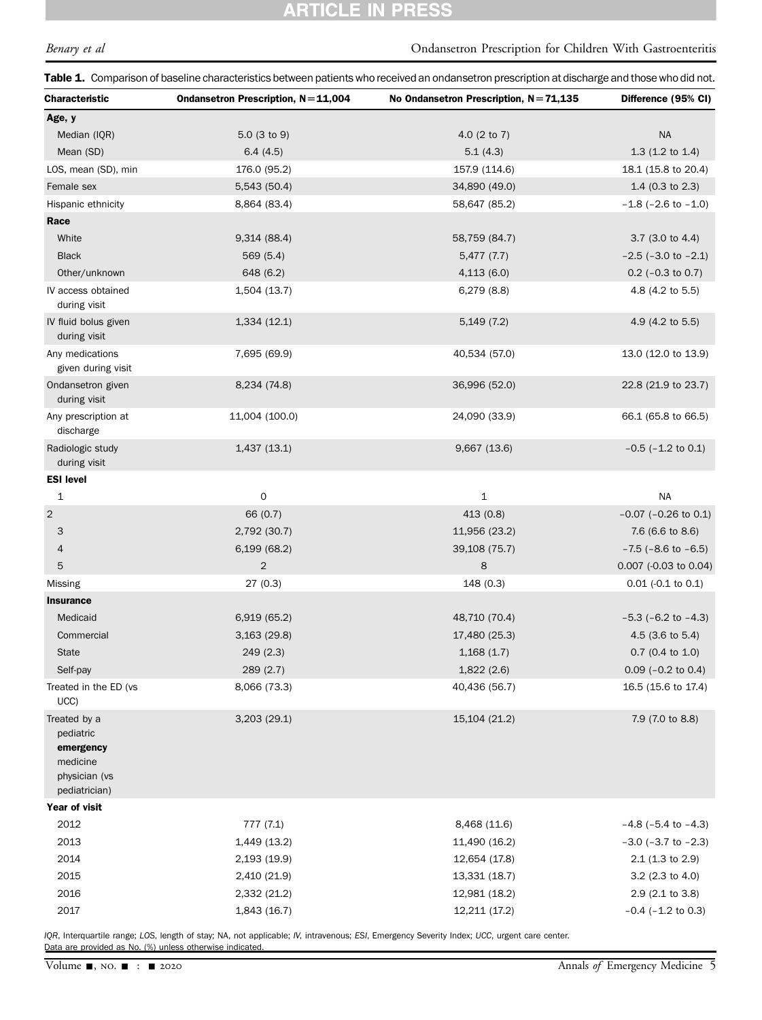## **ARTICLE IN PRESS**

#### Benary et al **Benary et al** Ondansetron Prescription for Children With Gastroenteritis

Table 1. Comparison of baseline characteristics between patients who received an ondansetron prescription at discharge and those who did not.

| <b>Characteristic</b>                                                                | Ondansetron Prescription, N=11,004 | No Ondansetron Prescription, $N = 71,135$ | Difference (95% CI)         |
|--------------------------------------------------------------------------------------|------------------------------------|-------------------------------------------|-----------------------------|
| Age, y                                                                               |                                    |                                           |                             |
| Median (IQR)                                                                         | $5.0$ (3 to 9)                     | 4.0 $(2 to 7)$                            | <b>NA</b>                   |
| Mean (SD)                                                                            | 6.4(4.5)                           | 5.1(4.3)                                  | 1.3 (1.2 to 1.4)            |
| LOS, mean (SD), min                                                                  | 176.0 (95.2)                       | 157.9 (114.6)                             | 18.1 (15.8 to 20.4)         |
| Female sex                                                                           | 5,543 (50.4)                       | 34,890 (49.0)                             | 1.4 (0.3 to $2.3$ )         |
| Hispanic ethnicity                                                                   | 8,864 (83.4)                       | 58,647 (85.2)                             | $-1.8$ ( $-2.6$ to $-1.0$ ) |
| Race                                                                                 |                                    |                                           |                             |
| White                                                                                | 9,314 (88.4)                       | 58,759 (84.7)                             | 3.7 $(3.0 \text{ to } 4.4)$ |
| <b>Black</b>                                                                         | 569 (5.4)                          | 5,477(7.7)                                | $-2.5$ ( $-3.0$ to $-2.1$ ) |
| Other/unknown                                                                        | 648 (6.2)                          | 4,113 (6.0)                               | $0.2$ (-0.3 to 0.7)         |
| IV access obtained<br>during visit                                                   | 1,504(13.7)                        | 6,279(8.8)                                | 4.8 (4.2 to 5.5)            |
| IV fluid bolus given<br>during visit                                                 | 1,334(12.1)                        | 5,149(7.2)                                | 4.9 (4.2 to 5.5)            |
| Any medications<br>given during visit                                                | 7,695 (69.9)                       | 40,534 (57.0)                             | 13.0 (12.0 to 13.9)         |
| Ondansetron given<br>during visit                                                    | 8,234 (74.8)                       | 36,996 (52.0)                             | 22.8 (21.9 to 23.7)         |
| Any prescription at<br>discharge                                                     | 11,004 (100.0)                     | 24,090 (33.9)                             | 66.1 (65.8 to 66.5)         |
| Radiologic study<br>during visit                                                     | 1,437(13.1)                        | 9,667(13.6)                               | $-0.5$ ( $-1.2$ to 0.1)     |
| <b>ESI</b> level                                                                     |                                    |                                           |                             |
| $\mathbf 1$                                                                          | $\mathsf{O}\xspace$                | $\mathbf{1}$                              | <b>NA</b>                   |
| $\overline{c}$                                                                       | 66 (0.7)                           | 413 (0.8)                                 | $-0.07$ ( $-0.26$ to 0.1)   |
| 3                                                                                    | 2,792 (30.7)                       | 11,956 (23.2)                             | 7.6 (6.6 to 8.6)            |
| 4                                                                                    | 6,199 (68.2)                       | 39,108 (75.7)                             | $-7.5$ ( $-8.6$ to $-6.5$ ) |
| 5                                                                                    | $\overline{2}$                     | 8                                         | 0.007 (-0.03 to 0.04)       |
| Missing                                                                              | 27(0.3)                            | 148 (0.3)                                 | $0.01$ (-0.1 to 0.1)        |
| <b>Insurance</b>                                                                     |                                    |                                           |                             |
| Medicaid                                                                             | 6,919(65.2)                        | 48,710 (70.4)                             | $-5.3$ ( $-6.2$ to $-4.3$ ) |
| Commercial                                                                           | 3,163 (29.8)                       | 17,480 (25.3)                             | 4.5 (3.6 to 5.4)            |
| <b>State</b>                                                                         | 249(2.3)                           | 1,168(1.7)                                | 0.7 (0.4 to 1.0)            |
| Self-pay                                                                             | 289 (2.7)                          | 1,822 (2.6)                               | $0.09$ ( $-0.2$ to $0.4$ )  |
| Treated in the ED (vs<br>$UCC$ )                                                     | 8,066 (73.3)                       | 40,436 (56.7)                             | 16.5 (15.6 to 17.4)         |
| Treated by a<br>pediatric<br>emergency<br>medicine<br>physician (vs<br>pediatrician) | 3,203(29.1)                        | 15,104 (21.2)                             | 7.9 (7.0 to 8.8)            |
| Year of visit                                                                        |                                    |                                           |                             |
| 2012                                                                                 | 777 (7.1)                          | 8,468 (11.6)                              | $-4.8$ ( $-5.4$ to $-4.3$ ) |
| 2013                                                                                 | 1,449 (13.2)                       | 11,490 (16.2)                             | $-3.0$ ( $-3.7$ to $-2.3$ ) |
| 2014                                                                                 | 2,193 (19.9)                       | 12,654 (17.8)                             | 2.1 (1.3 to 2.9)            |
| 2015                                                                                 | 2,410 (21.9)                       | 13,331 (18.7)                             | 3.2 (2.3 to 4.0)            |
| 2016                                                                                 | 2,332 (21.2)                       | 12,981 (18.2)                             | 2.9 (2.1 to 3.8)            |
| 2017                                                                                 | 1,843 (16.7)                       | 12,211 (17.2)                             | $-0.4$ ( $-1.2$ to 0.3)     |

<span id="page-4-0"></span>IQR, Interquartile range; LOS, length of stay; NA, not applicable; IV, intravenous; ESI, Emergency Severity Index; UCC, urgent care center. Data are provided as No. (%) unless otherwise indicated.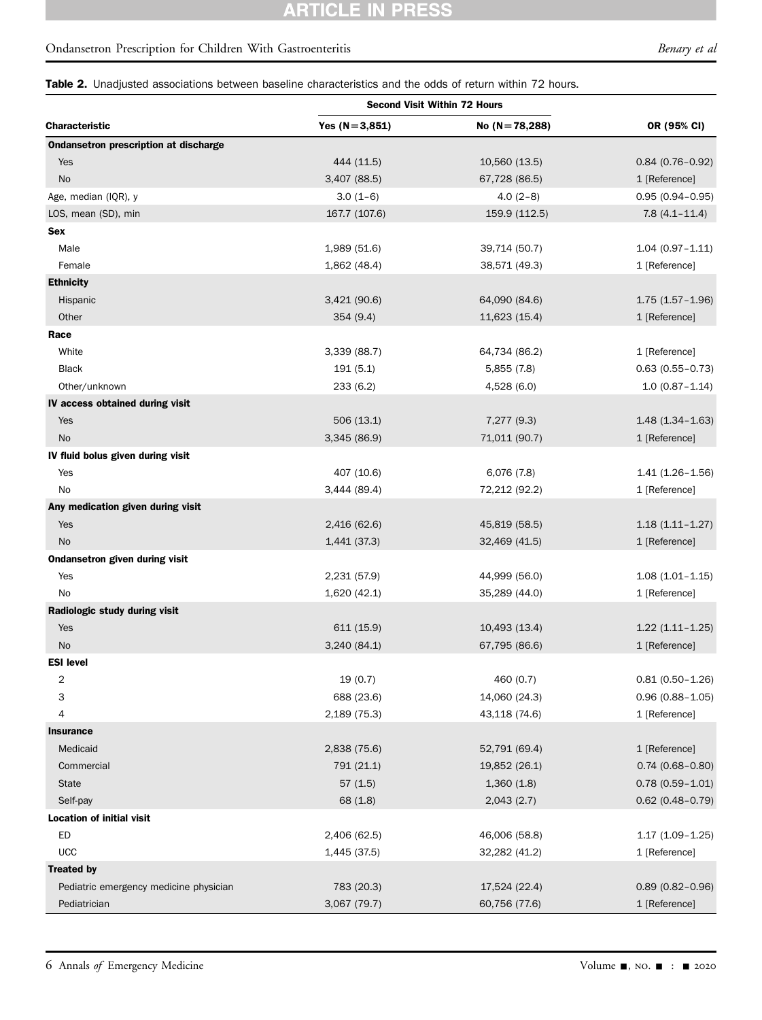## **ARTICLE IN PRESS**

#### Ondansetron Prescription for Children With Gastroenteritis Benary et al

#### <span id="page-5-0"></span>Table 2. Unadjusted associations between baseline characteristics and the odds of return within 72 hours.

|                                        | Second Visit Within 72 Hours |                 |                     |  |  |
|----------------------------------------|------------------------------|-----------------|---------------------|--|--|
| <b>Characteristic</b>                  | Yes $(N=3,851)$              | No $(N=78,288)$ | OR (95% CI)         |  |  |
| Ondansetron prescription at discharge  |                              |                 |                     |  |  |
| Yes                                    | 444 (11.5)                   | 10,560 (13.5)   | $0.84(0.76 - 0.92)$ |  |  |
| No                                     | 3,407 (88.5)                 | 67,728 (86.5)   | 1 [Reference]       |  |  |
| Age, median (IQR), y                   | $3.0(1-6)$                   | $4.0(2-8)$      | $0.95(0.94 - 0.95)$ |  |  |
| LOS, mean (SD), min                    | 167.7 (107.6)                | 159.9 (112.5)   | $7.8(4.1 - 11.4)$   |  |  |
| Sex                                    |                              |                 |                     |  |  |
| Male                                   | 1,989 (51.6)                 | 39,714 (50.7)   | $1.04(0.97 - 1.11)$ |  |  |
| Female                                 | 1,862 (48.4)                 | 38,571 (49.3)   | 1 [Reference]       |  |  |
| <b>Ethnicity</b>                       |                              |                 |                     |  |  |
| Hispanic                               | 3,421 (90.6)                 | 64,090 (84.6)   | $1.75(1.57 - 1.96)$ |  |  |
| Other                                  | 354 (9.4)                    | 11,623 (15.4)   | 1 [Reference]       |  |  |
| Race                                   |                              |                 |                     |  |  |
| White                                  | 3,339 (88.7)                 | 64,734 (86.2)   | 1 [Reference]       |  |  |
| <b>Black</b>                           | 191 (5.1)                    | 5,855 (7.8)     | $0.63(0.55 - 0.73)$ |  |  |
| Other/unknown                          | 233(6.2)                     | 4,528 (6.0)     | $1.0(0.87 - 1.14)$  |  |  |
| IV access obtained during visit        |                              |                 |                     |  |  |
| Yes                                    | 506(13.1)                    | 7,277 (9.3)     | $1.48(1.34 - 1.63)$ |  |  |
| No                                     | 3,345 (86.9)                 | 71,011 (90.7)   | 1 [Reference]       |  |  |
| IV fluid bolus given during visit      |                              |                 |                     |  |  |
| Yes                                    | 407 (10.6)                   | 6,076 (7.8)     | $1.41(1.26 - 1.56)$ |  |  |
| No                                     | 3,444 (89.4)                 | 72,212 (92.2)   | 1 [Reference]       |  |  |
| Any medication given during visit      |                              |                 |                     |  |  |
| Yes                                    | 2,416 (62.6)                 | 45,819 (58.5)   | $1.18(1.11 - 1.27)$ |  |  |
| No                                     | 1,441 (37.3)                 | 32,469 (41.5)   | 1 [Reference]       |  |  |
| Ondansetron given during visit         |                              |                 |                     |  |  |
| Yes                                    | 2,231 (57.9)                 | 44,999 (56.0)   | $1.08(1.01 - 1.15)$ |  |  |
| No                                     | 1,620 (42.1)                 | 35,289 (44.0)   | 1 [Reference]       |  |  |
| Radiologic study during visit          |                              |                 |                     |  |  |
| Yes                                    | 611(15.9)                    | 10,493 (13.4)   | $1.22(1.11 - 1.25)$ |  |  |
| No                                     | 3,240 (84.1)                 | 67,795 (86.6)   | 1 [Reference]       |  |  |
| <b>ESI</b> level                       |                              |                 |                     |  |  |
| $\overline{2}$                         | 19 (0.7)                     | 460 (0.7)       | $0.81(0.50 - 1.26)$ |  |  |
| 3                                      | 688 (23.6)                   | 14,060 (24.3)   | $0.96(0.88 - 1.05)$ |  |  |
| 4                                      | 2,189 (75.3)                 | 43,118 (74.6)   | 1 [Reference]       |  |  |
| <b>Insurance</b>                       |                              |                 |                     |  |  |
| Medicaid                               | 2,838 (75.6)                 | 52,791 (69.4)   | 1 [Reference]       |  |  |
| Commercial                             | 791 (21.1)                   | 19,852 (26.1)   | $0.74(0.68 - 0.80)$ |  |  |
| <b>State</b>                           | 57(1.5)                      | 1,360(1.8)      | $0.78(0.59 - 1.01)$ |  |  |
| Self-pay                               | 68 (1.8)                     | 2,043(2.7)      | $0.62$ (0.48-0.79)  |  |  |
| <b>Location of initial visit</b>       |                              |                 |                     |  |  |
| ED                                     | 2,406 (62.5)                 | 46,006 (58.8)   | $1.17(1.09 - 1.25)$ |  |  |
| <b>UCC</b>                             | 1,445 (37.5)                 | 32,282 (41.2)   | 1 [Reference]       |  |  |
| <b>Treated by</b>                      |                              |                 |                     |  |  |
| Pediatric emergency medicine physician | 783 (20.3)                   | 17,524 (22.4)   | $0.89(0.82 - 0.96)$ |  |  |
| Pediatrician                           | 3,067 (79.7)                 | 60,756 (77.6)   | 1 [Reference]       |  |  |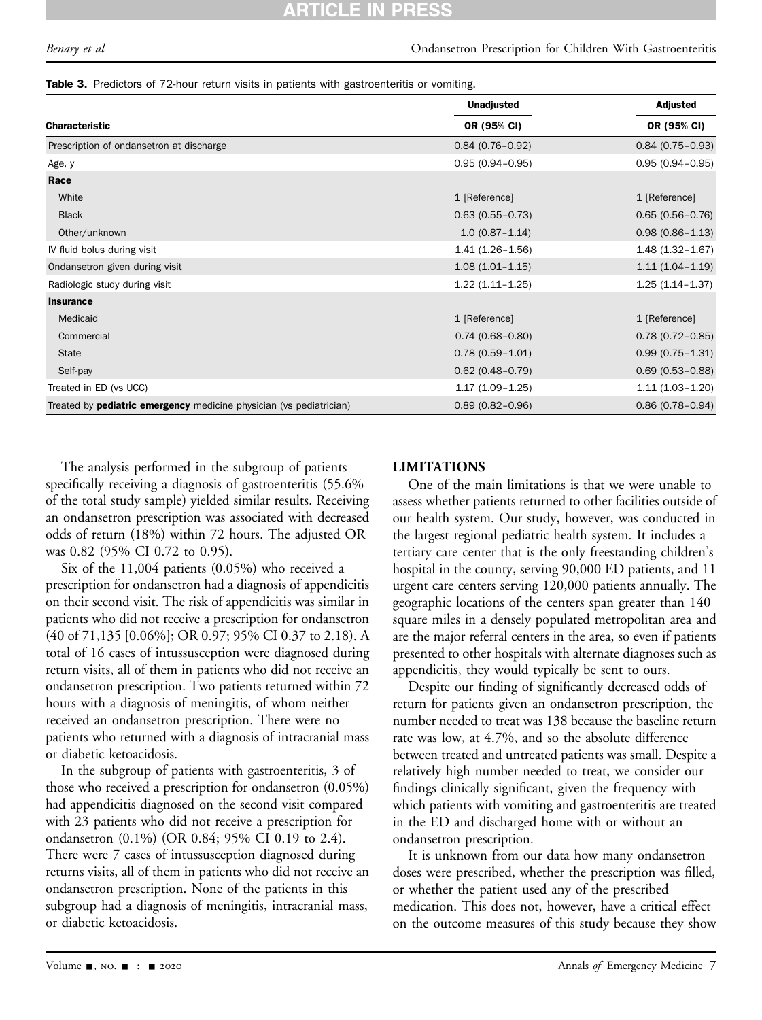## RTICLE IN PRE

#### <span id="page-6-0"></span>Table 3. Predictors of 72-hour return visits in patients with gastroenteritis or vomiting.

|                                                                            | <b>Unadjusted</b>   | <b>Adjusted</b>     |
|----------------------------------------------------------------------------|---------------------|---------------------|
| <b>Characteristic</b>                                                      | OR (95% CI)         | OR (95% CI)         |
| Prescription of ondansetron at discharge                                   | $0.84(0.76 - 0.92)$ | $0.84(0.75-0.93)$   |
| Age, y                                                                     | $0.95(0.94 - 0.95)$ | $0.95(0.94 - 0.95)$ |
| Race                                                                       |                     |                     |
| White                                                                      | 1 [Reference]       | 1 [Reference]       |
| <b>Black</b>                                                               | $0.63(0.55 - 0.73)$ | $0.65(0.56 - 0.76)$ |
| Other/unknown                                                              | $1.0(0.87 - 1.14)$  | $0.98(0.86 - 1.13)$ |
| IV fluid bolus during visit                                                | $1.41(1.26 - 1.56)$ | $1.48(1.32 - 1.67)$ |
| Ondansetron given during visit                                             | $1.08(1.01 - 1.15)$ | $1.11(1.04 - 1.19)$ |
| Radiologic study during visit                                              | $1.22(1.11 - 1.25)$ | $1.25(1.14 - 1.37)$ |
| <b>Insurance</b>                                                           |                     |                     |
| Medicaid                                                                   | 1 [Reference]       | 1 [Reference]       |
| Commercial                                                                 | $0.74(0.68-0.80)$   | $0.78(0.72 - 0.85)$ |
| <b>State</b>                                                               | $0.78(0.59 - 1.01)$ | $0.99(0.75 - 1.31)$ |
| Self-pay                                                                   | $0.62(0.48-0.79)$   | $0.69(0.53 - 0.88)$ |
| Treated in ED (vs UCC)                                                     | $1.17(1.09 - 1.25)$ | $1.11(1.03 - 1.20)$ |
| Treated by <b>pediatric emergency</b> medicine physician (vs pediatrician) | $0.89(0.82 - 0.96)$ | $0.86(0.78 - 0.94)$ |

The analysis performed in the subgroup of patients specifically receiving a diagnosis of gastroenteritis (55.6% of the total study sample) yielded similar results. Receiving an ondansetron prescription was associated with decreased odds of return (18%) within 72 hours. The adjusted OR was 0.82 (95% CI 0.72 to 0.95).

Six of the 11,004 patients (0.05%) who received a prescription for ondansetron had a diagnosis of appendicitis on their second visit. The risk of appendicitis was similar in patients who did not receive a prescription for ondansetron (40 of 71,135 [0.06%]; OR 0.97; 95% CI 0.37 to 2.18). A total of 16 cases of intussusception were diagnosed during return visits, all of them in patients who did not receive an ondansetron prescription. Two patients returned within 72 hours with a diagnosis of meningitis, of whom neither received an ondansetron prescription. There were no patients who returned with a diagnosis of intracranial mass or diabetic ketoacidosis.

In the subgroup of patients with gastroenteritis, 3 of those who received a prescription for ondansetron (0.05%) had appendicitis diagnosed on the second visit compared with 23 patients who did not receive a prescription for ondansetron (0.1%) (OR 0.84; 95% CI 0.19 to 2.4). There were 7 cases of intussusception diagnosed during returns visits, all of them in patients who did not receive an ondansetron prescription. None of the patients in this subgroup had a diagnosis of meningitis, intracranial mass, or diabetic ketoacidosis.

### LIMITATIONS

One of the main limitations is that we were unable to assess whether patients returned to other facilities outside of our health system. Our study, however, was conducted in the largest regional pediatric health system. It includes a tertiary care center that is the only freestanding children's hospital in the county, serving 90,000 ED patients, and 11 urgent care centers serving 120,000 patients annually. The geographic locations of the centers span greater than 140 square miles in a densely populated metropolitan area and are the major referral centers in the area, so even if patients presented to other hospitals with alternate diagnoses such as appendicitis, they would typically be sent to ours.

Despite our finding of significantly decreased odds of return for patients given an ondansetron prescription, the number needed to treat was 138 because the baseline return rate was low, at 4.7%, and so the absolute difference between treated and untreated patients was small. Despite a relatively high number needed to treat, we consider our findings clinically significant, given the frequency with which patients with vomiting and gastroenteritis are treated in the ED and discharged home with or without an ondansetron prescription.

It is unknown from our data how many ondansetron doses were prescribed, whether the prescription was filled, or whether the patient used any of the prescribed medication. This does not, however, have a critical effect on the outcome measures of this study because they show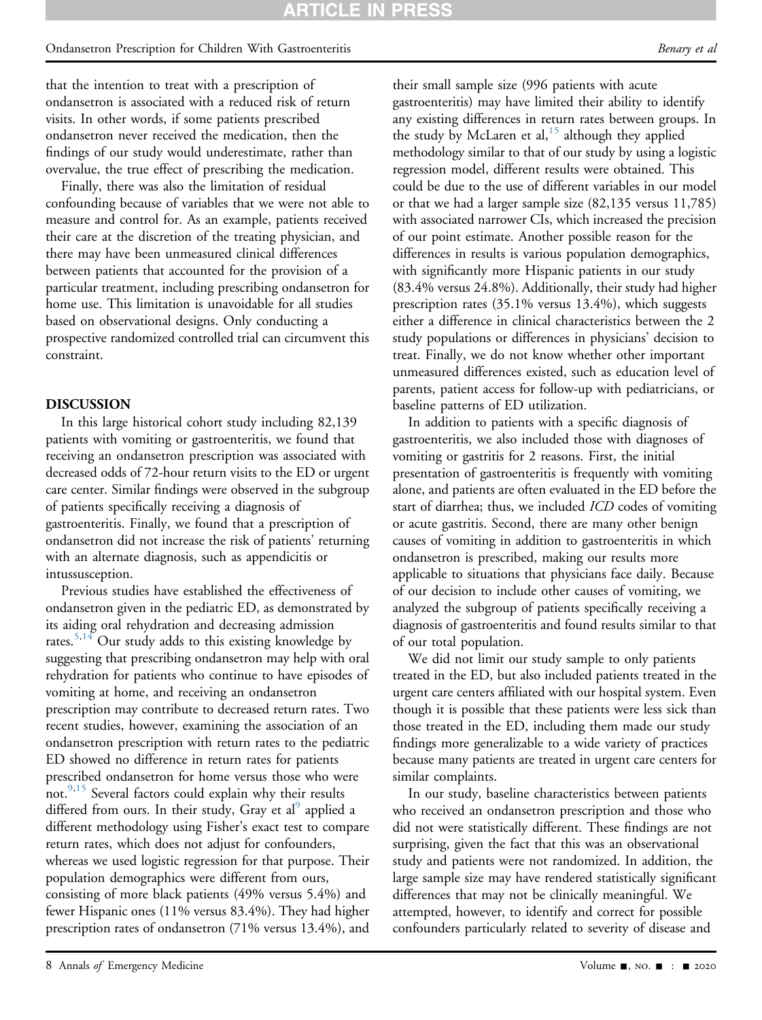#### Ondansetron Prescription for Children With Gastroenteritis Benary et al. Benary et al.

that the intention to treat with a prescription of ondansetron is associated with a reduced risk of return visits. In other words, if some patients prescribed ondansetron never received the medication, then the findings of our study would underestimate, rather than overvalue, the true effect of prescribing the medication.

Finally, there was also the limitation of residual confounding because of variables that we were not able to measure and control for. As an example, patients received their care at the discretion of the treating physician, and there may have been unmeasured clinical differences between patients that accounted for the provision of a particular treatment, including prescribing ondansetron for home use. This limitation is unavoidable for all studies based on observational designs. Only conducting a prospective randomized controlled trial can circumvent this constraint.

### DISCUSSION

In this large historical cohort study including 82,139 patients with vomiting or gastroenteritis, we found that receiving an ondansetron prescription was associated with decreased odds of 72-hour return visits to the ED or urgent care center. Similar findings were observed in the subgroup of patients specifically receiving a diagnosis of gastroenteritis. Finally, we found that a prescription of ondansetron did not increase the risk of patients' returning with an alternate diagnosis, such as appendicitis or intussusception.

Previous studies have established the effectiveness of ondansetron given in the pediatric ED, as demonstrated by its aiding oral rehydration and decreasing admission rates.<sup>[5,](#page-9-11)[14](#page-9-12)</sup> Our study adds to this existing knowledge by suggesting that prescribing ondansetron may help with oral rehydration for patients who continue to have episodes of vomiting at home, and receiving an ondansetron prescription may contribute to decreased return rates. Two recent studies, however, examining the association of an ondansetron prescription with return rates to the pediatric ED showed no difference in return rates for patients prescribed ondansetron for home versus those who were not.<sup>[9](#page-9-6)[,15](#page-9-13)</sup> Several factors could explain why their results differed from ours. In their study, Gray et al<sup>[9](#page-9-6)</sup> applied a different methodology using Fisher's exact test to compare return rates, which does not adjust for confounders, whereas we used logistic regression for that purpose. Their population demographics were different from ours, consisting of more black patients (49% versus 5.4%) and fewer Hispanic ones (11% versus 83.4%). They had higher prescription rates of ondansetron (71% versus 13.4%), and

their small sample size (996 patients with acute gastroenteritis) may have limited their ability to identify any existing differences in return rates between groups. In the study by McLaren et al, $^{15}$  $^{15}$  $^{15}$  although they applied methodology similar to that of our study by using a logistic regression model, different results were obtained. This could be due to the use of different variables in our model or that we had a larger sample size (82,135 versus 11,785) with associated narrower CIs, which increased the precision of our point estimate. Another possible reason for the differences in results is various population demographics, with significantly more Hispanic patients in our study (83.4% versus 24.8%). Additionally, their study had higher prescription rates (35.1% versus 13.4%), which suggests either a difference in clinical characteristics between the 2 study populations or differences in physicians' decision to treat. Finally, we do not know whether other important unmeasured differences existed, such as education level of parents, patient access for follow-up with pediatricians, or baseline patterns of ED utilization.

In addition to patients with a specific diagnosis of gastroenteritis, we also included those with diagnoses of vomiting or gastritis for 2 reasons. First, the initial presentation of gastroenteritis is frequently with vomiting alone, and patients are often evaluated in the ED before the start of diarrhea; thus, we included *ICD* codes of vomiting or acute gastritis. Second, there are many other benign causes of vomiting in addition to gastroenteritis in which ondansetron is prescribed, making our results more applicable to situations that physicians face daily. Because of our decision to include other causes of vomiting, we analyzed the subgroup of patients specifically receiving a diagnosis of gastroenteritis and found results similar to that of our total population.

We did not limit our study sample to only patients treated in the ED, but also included patients treated in the urgent care centers affiliated with our hospital system. Even though it is possible that these patients were less sick than those treated in the ED, including them made our study findings more generalizable to a wide variety of practices because many patients are treated in urgent care centers for similar complaints.

In our study, baseline characteristics between patients who received an ondansetron prescription and those who did not were statistically different. These findings are not surprising, given the fact that this was an observational study and patients were not randomized. In addition, the large sample size may have rendered statistically significant differences that may not be clinically meaningful. We attempted, however, to identify and correct for possible confounders particularly related to severity of disease and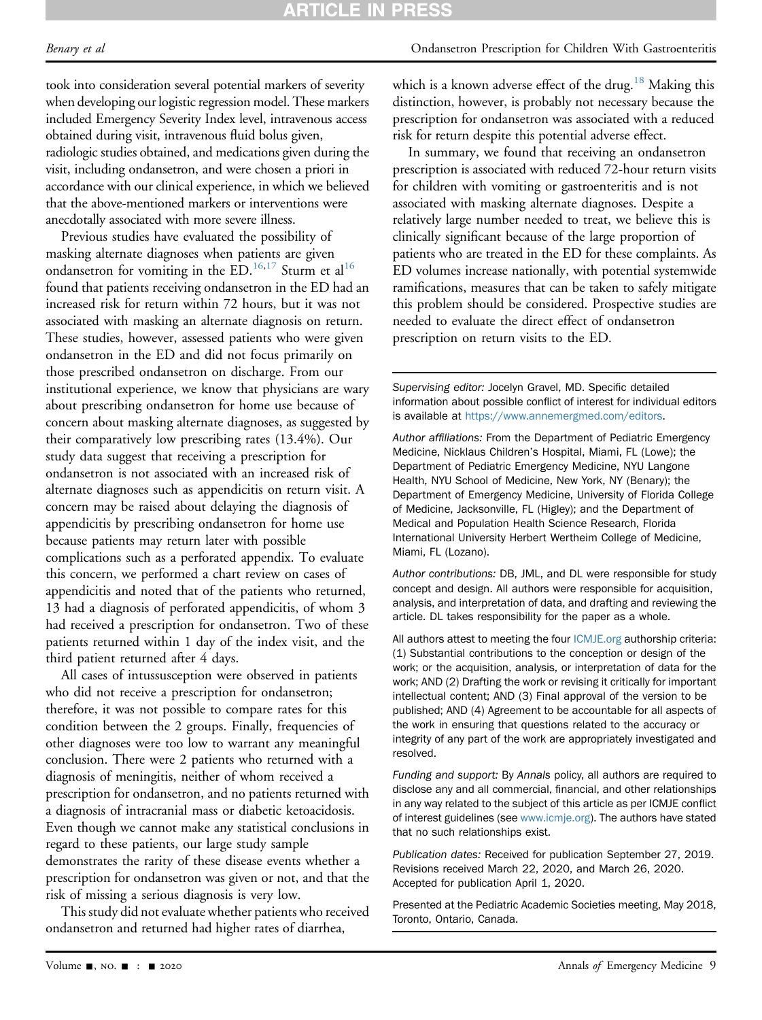## **ARTICLE IN PRES**

Benary et al Ondansetron Prescription for Children With Gastroenteritis

took into consideration several potential markers of severity when developing our logistic regression model. These markers included Emergency Severity Index level, intravenous access obtained during visit, intravenous fluid bolus given, radiologic studies obtained, and medications given during the visit, including ondansetron, and were chosen a priori in accordance with our clinical experience, in which we believed that the above-mentioned markers or interventions were anecdotally associated with more severe illness.

Previous studies have evaluated the possibility of masking alternate diagnoses when patients are given ondansetron for vomiting in the ED.<sup>[16](#page-9-14)[,17](#page-9-15)</sup> Sturm et al<sup>16</sup> found that patients receiving ondansetron in the ED had an increased risk for return within 72 hours, but it was not associated with masking an alternate diagnosis on return. These studies, however, assessed patients who were given ondansetron in the ED and did not focus primarily on those prescribed ondansetron on discharge. From our institutional experience, we know that physicians are wary about prescribing ondansetron for home use because of concern about masking alternate diagnoses, as suggested by their comparatively low prescribing rates (13.4%). Our study data suggest that receiving a prescription for ondansetron is not associated with an increased risk of alternate diagnoses such as appendicitis on return visit. A concern may be raised about delaying the diagnosis of appendicitis by prescribing ondansetron for home use because patients may return later with possible complications such as a perforated appendix. To evaluate this concern, we performed a chart review on cases of appendicitis and noted that of the patients who returned, 13 had a diagnosis of perforated appendicitis, of whom 3 had received a prescription for ondansetron. Two of these patients returned within 1 day of the index visit, and the third patient returned after 4 days.

All cases of intussusception were observed in patients who did not receive a prescription for ondansetron; therefore, it was not possible to compare rates for this condition between the 2 groups. Finally, frequencies of other diagnoses were too low to warrant any meaningful conclusion. There were 2 patients who returned with a diagnosis of meningitis, neither of whom received a prescription for ondansetron, and no patients returned with a diagnosis of intracranial mass or diabetic ketoacidosis. Even though we cannot make any statistical conclusions in regard to these patients, our large study sample demonstrates the rarity of these disease events whether a prescription for ondansetron was given or not, and that the risk of missing a serious diagnosis is very low.

This study did not evaluate whether patients who received ondansetron and returned had higher rates of diarrhea,

which is a known adverse effect of the drug.<sup>[18](#page-9-16)</sup> Making this distinction, however, is probably not necessary because the prescription for ondansetron was associated with a reduced risk for return despite this potential adverse effect.

In summary, we found that receiving an ondansetron prescription is associated with reduced 72-hour return visits for children with vomiting or gastroenteritis and is not associated with masking alternate diagnoses. Despite a relatively large number needed to treat, we believe this is clinically significant because of the large proportion of patients who are treated in the ED for these complaints. As ED volumes increase nationally, with potential systemwide ramifications, measures that can be taken to safely mitigate this problem should be considered. Prospective studies are needed to evaluate the direct effect of ondansetron prescription on return visits to the ED.

Supervising editor: Jocelyn Gravel, MD. Specific detailed information about possible conflict of interest for individual editors is available at [https://www.annemergmed.com/editors.](https://www.annemergmed.com/editors)

Author affiliations: From the Department of Pediatric Emergency Medicine, Nicklaus Children's Hospital, Miami, FL (Lowe); the Department of Pediatric Emergency Medicine, NYU Langone Health, NYU School of Medicine, New York, NY (Benary); the Department of Emergency Medicine, University of Florida College of Medicine, Jacksonville, FL (Higley); and the Department of Medical and Population Health Science Research, Florida International University Herbert Wertheim College of Medicine, Miami, FL (Lozano).

Author contributions: DB, JML, and DL were responsible for study concept and design. All authors were responsible for acquisition, analysis, and interpretation of data, and drafting and reviewing the article. DL takes responsibility for the paper as a whole.

All authors attest to meeting the four [ICMJE.org](http://ICMJE.org) authorship criteria: (1) Substantial contributions to the conception or design of the work; or the acquisition, analysis, or interpretation of data for the work; AND (2) Drafting the work or revising it critically for important intellectual content; AND (3) Final approval of the version to be published; AND (4) Agreement to be accountable for all aspects of the work in ensuring that questions related to the accuracy or integrity of any part of the work are appropriately investigated and resolved.

Funding and support: By Annals policy, all authors are required to disclose any and all commercial, financial, and other relationships in any way related to the subject of this article as per ICMJE conflict of interest guidelines (see [www.icmje.org](http://www.icmje.org)). The authors have stated that no such relationships exist.

Publication dates: Received for publication September 27, 2019. Revisions received March 22, 2020, and March 26, 2020. Accepted for publication April 1, 2020.

Presented at the Pediatric Academic Societies meeting, May 2018, Toronto, Ontario, Canada.